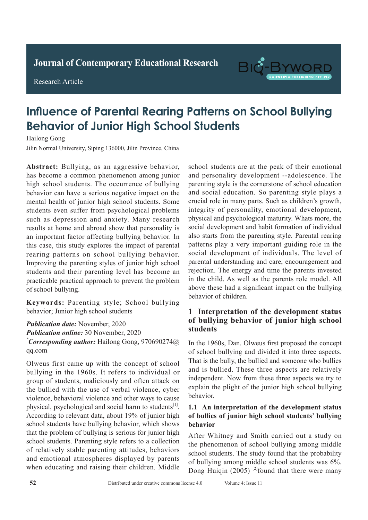**Journal of Clinical and Nursing Research Journal of Contemporary Educational Research**

# **Research Article**

Research Article



# **Influence of Parental Rearing Patterns on School Bullying Behavior of Junior High School Students**

Hailong Gong Hailong Gong

Jilin Normal University, Siping 136000, Jilin Province, China

Abstract: Bullying, as an aggressive behavior, has become a common phenomenon among junior high school students. The occurrence of bullying behavior can have a serious negative impact on the mental health of junior high school students. Some students even suffer from psychological problems such as depression and anxiety. Many research results at home and abroad show that personality is an important factor affecting bullying behavior. In this case, this study explores the impact of parental rearing patterns on school bullying behavior. Improving the parenting styles of junior high school students and their parenting level has become an practicable practical approach to prevent the problem of school bullying. rate of 92.00% (*P*>0.05) in the conventional chest

Keywords: Parenting style; School bullying behavior; Junior high school students

Publication date: November, 2020 Publication online: 30 November, 2020 *\* Corresponding author:* Hailong Gong, 970690274@  $\frac{1}{2}$  conventional conventional conventional conventional conventional convention  $\frac{1}{2}$ The difference was statistically significant (*P*<0.05). qq.com  $\mathcal{L}$  ray. The detection rate of spiral constant  $\mathcal{L}$ 

Olweus first came up with the concept of school bullying in the 1960s. It refers to individual or group of students, maliciously and often attack on group of statistics, interesting and stream attached on and other was to be higher violence, behavioral violence and other ways to cause According to relevant data, about 19% of junior high school students have bullying behavior, which shows that the problem of bullying is serious for junior high school students. Parenting style refers to a collection of relatively stable parenting attitudes, behaviors and emotional atmospheres displayed by parents and emotional amospheres displayed by parems when educating and raising their children. Middle physical, psychological and social harm to students<sup>[1]</sup>. *Publicatively stable parent \*Corresponding author:* Ruishu Wang, wrs26121939@

school students are at the peak of their emotional and personality development --adolescence. The parenting style is the cornerstone of school education and social education. So parenting style plays a crucial role in many parts. Such as children's growth, integrity of personality, emotional development, physical and psychological maturity. Whats more, the social development and habit formation of individual also starts from the parenting style. Parental rearing patterns play a very important guiding role in the social development of individuals. The level of parental understanding and care, encouragement and rejection. The energy and time the parents invested in the child. As well as the parents role model. All  $\cdot$ above these had a significant impact on the bullying behavior of children.

#### 1 Interpretation of the development status a completence of the actor places states of bullying behavior of junior high school **but its detection rate of tuberculosis is low. Spiral CT** substituting in the spiral CT spiral CT substituting in the spiral CT spiral CT substituting in the spiral CT spiral CT spiral CT spiral CT spiral CT spiral CT spi suitable for wides of the form of the second promotion. Chest X-ray has the second second second second second <br>Second second second second second second second second second second second second second second second secon advantage of being fast, economical, and convenient,

 $\overline{\mathbf{u}}$  wide  $\overline{\mathbf{u}}$  and  $\overline{\mathbf{u}}$  used  $\overline{\mathbf{u}}$  and  $\overline{\mathbf{u}}$  and  $\overline{\mathbf{u}}$  and  $\overline{\mathbf{u}}$  and  $\overline{\mathbf{u}}$  and  $\overline{\mathbf{u}}$  and  $\overline{\mathbf{u}}$  and  $\overline{\mathbf{u}}$  and  $\overline{\mathbf{u}}$  and  $\overline{\mathbf{u}}$  and  $\overline{\mathbf{u}}$ In the 1960s, Dan. Olweus first proposed the concept  $\epsilon$  of the 14 low. Spiral CT is low. or senoor bunying and divided it more ince aspects. That is the bully, the bullied and someone who bullies  $\frac{1}{2}$ . and is burned. These three aspects are relatively independent. Now from these three aspects we try to **1 Internation** and methods *n* of school bullying and divided it into three aspects. and is bullied. These three aspects are relatively explain the plight of the junior high school bullying

#### of bullies of junior high school students' bullying  $\mathbf{D}$ **1.1** An interpretation of the development status **1.1 In In Information** and **methods 1.1 behavior**

After Whitney and Smith carried out a study on the phenomenon of school bullying among middle the phenomenon of school bullying among middle school students. The study found that the probability of bullying among middle school students was 6%. Dong Huiqin (2005) <sup>[2]</sup>found that there were many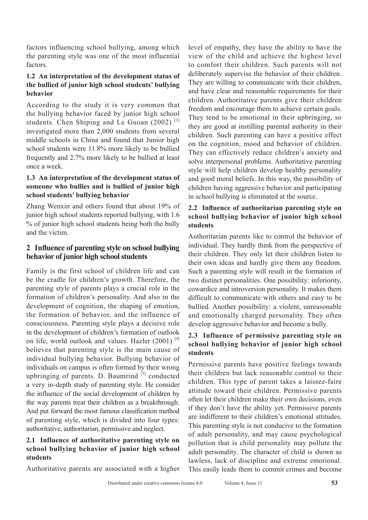factors influencing school bullying, among which the parenting style was one of the most influential factors.

# **1.2 An interpretation of the development status of the bullied of junior high school students' bullying behavior**

According to the study it is very common that the bullying behavior faced by junior high school students. Chen Shiping and Le Guoan  $(2002)^{5}$ investigated more than 2,000 students from several middle schools in China and found that Junior high school students were 11.8% more likely to be bullied frequently and 2.7% more likely to be bullied at least once a week.

### **1.3 An interpretation of the development status of someone who bullies and is bullied of junior high school students' bullying behavior**

Zhang Wenxin and others found that about 19% of junior high school students reported bullying, with 1.6 % of junior high school students being both the bully and the victim.

# **2 Influence of parenting style on school bullying behavior of junior high school students**

Family is the first school of children life and can be the cradle for children's growth. Therefore, the parenting style of parents plays a crucial role in the formation of children's personality. And also in the development of cognition, the shaping of emotion, the formation of behavior, and the influence of consciousness. Parenting style plays a decisive role in the development of children's formation of outlook on life, world outlook and values. Hazler (2001)<sup>[4]</sup> believes that parenting style is the main cause of individual bullying behavior. Bullying behavior of individuals on campus is often formed by their wrong upbringing of parents. D. Baumrind [5] conducted a very in-depth study of parenting style. He consider the influence of the social development of children by the way parents treat their children as a breakthrough. And put forward the most famous classification method of parenting style, which is divided into four types: authoritative, authoritarian, permissive and neglect.

### **2.1 Influence of authoritative parenting style on school bullying behavior of junior high school students**

Authoritative parents are associated with a higher

level of empathy, they have the ability to have the view of the child and achieve the highest level to comfort their children. Such parents will not deliberately supervise the behavior of their children. They are willing to communicate with their children, and have clear and reasonable requirements for their children. Authoritative parents give their children freedom and encourage them to achieve certain goals. They tend to be emotional in their upbringing, so they are good at instilling parental authority in their children. Such parenting can have a positive effect on the cognition, mood and behavior of children. They can effectively reduce children's anxiety and solve interpersonal problems. Authoritative parenting style will help children develop healthy personality and good moral beliefs. In this way, the possibility of children having aggressive behavior and participating in school bullying is eliminated at the source.

### **2.2 Influence of authoritarian parenting style on school bullying behavior of junior high school students**

Authoritarian parents like to control the behavior of individual. They hardly think from the perspective of their children. They only let their children listen to their own ideas and hardly give them any freedom. Such a parenting style will result in the formation of two distinct personalities. One possibility: inferiority, cowardice and introversion personality. It makes them difficult to communicate with others and easy to be bullied. Another possibility: a violent, unreasonable and emotionally charged personality. They often develop aggressive behavior and become a bully.

# **2.3 Influence of permissive parenting style on school bullying behavior of junior high school students**

Permissive parents have positive feelings towards their children but lack reasonable control to their children. This type of parent takes a laissez-faire attitude toward their children. Permissive parents often let their children make their own decisions, even if they don't have the ability yet. Permissive parents are indifferent to their children's emotional attitudes. This parenting style is not conducive to the formation of adult personality, and may cause psychological pollution that is child personality may pollute the adult personality. The character of child is shown as lawless, lack of discipline and extreme emotional. This easily leads them to commit crimes and become